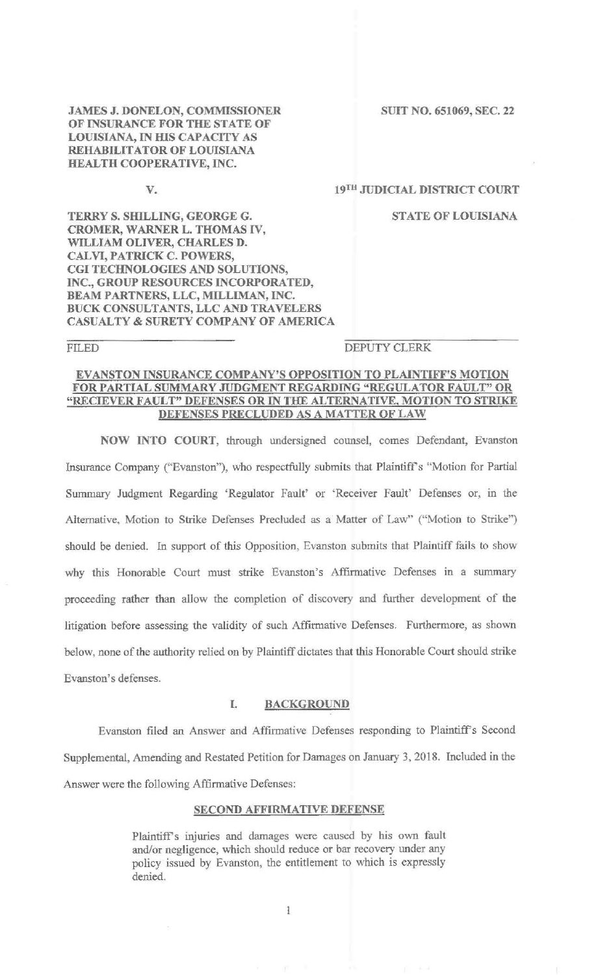JAMES J. DONELON, COMMISSIONER SUIT NO. 651069, SEC. 22 OF INSURANCE FOR THE STATE OF LOUISIANA, IN HIS CAPACITY AS REHABILITATOR OF LOUISIANA HEALTH COOPERATIVE, INC.

#### V. 19TH JUDICIAL DISTRICT COURT

TERRY S. SHILLING, GEORGE G. STATE OF LOUISIANA CROMER, WARNER L. THOMAS IV, WILLIAM OLIVER, CHARLES D. CALVI, PATRICK C. POWERS, CGI TECHNOLOGIES AND SOLUTIONS, INC., GROUP RESOURCES INCORPORATED, BEAM PARTNERS, LLC, MILLIMAN, INC. BUCK CONSULTANTS, LLC AND TRAVELERS CASUALTY & SURETY COMPANY OF AMERICA

## FILED DEPUTY CLERK

## EVANSTON INSURANCE COMPANY'S OPPOSITION TO PLAINTIFF'S MOTION FOR PARTIAL SUMMARY JUDGMENT REGARDING "REGULATOR FAULT" OR "RECIEVER FAULT" DEFENSES OR IN THE ALTERNATIVE, MOTION TO STRIKE DEFENSES PRECLUDED AS A MATTER OF LAW

NOW INTO COURT, through undersigned counsel, comes Defendant, Evanston Insurance Company ("Evanston"), who respectfully submits that Plaintiff's "Motion for Partial Summary Judgment Regarding 'Regulator Fault' or 'Receiver Fault' Defenses or, in the Alternative, Motion to Strike Defenses Precluded as a Matter of Law" ("Motion to Strike") should be denied. In support of this Opposition, Evanston submits that Plaintiff fails to show why this Honorable Court must strike Evanston's Affirmative Defenses in a summary proceeding rather than allow the completion of discovery and further development of the litigation before assessing the validity of such Affirmative Defenses. Furthermore, as shown below, none of the authority relied on by Plaintiff dictates that this Honorable Court should strike Evanston's defenses.

### I. BACKGROUND

Evanston filed an Answer and Affirmative Defenses responding to Plaintiff's Second Supplemental, Amending and Restated Petition for Damages on January 3, 2018. Included in the Answer were the following Affirmative Defenses:

### SECOND AFFIRMATIVE DEFENSE

Plaintiff's injuries and damages were caused by his own fault and/or negligence, which should reduce or bar recovery under any policy issued by Evanston, the entitlement to which is expressly denied.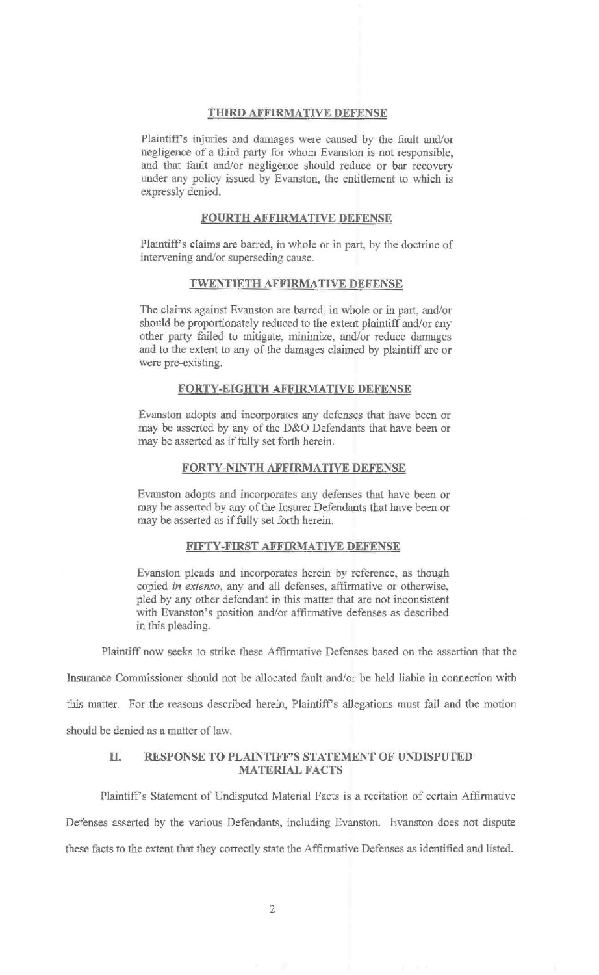#### THIRD AFFIRMATNE DEFENSE

Plaintiff's injuries and damages were caused by the fault and/or negligence of a third party for whom Evanston is not responsible, and that fault and/or negligence should reduce or bar recovery under any policy issued by Evanston, the entitlement to which is expressly denied.

#### FOURTH AFFIRMATIVE DEFENSE

Plaintiff's claims are barred, in whole or in part, by the doctrine of intervening and/or superseding cause.

### TWENTIETH AFFIRMATIVE DEFENSE

The claims against Evanston are barred, in whole or in part, and/or should be proportionately reduced to the extent plaintiff and/or any other party failed to mitigate, minimize, and/or reduce damages and to the extent to any of the damages claimed by plaintiff are or were pre-existing.

### FORTY-EIGHTH AFFIRMATIVE DEFENSE

Evanston adopts and incorporates any defenses that have been or may be asserted by any of the D&O Defendants that have been or may be asserted as if fully set forth herein.

#### FORTY-NINTH AFFIRMATIVE DEFENSE

Evanston adopts and incorporates any defenses that have been or may be asserted by any of the Insurer Defendants that have been or may be asserted as if fully set forth herein.

## FIFTY-FIRST AFFIRMATIVE DEFENSE

Evanston pleads and incorporates herein by reference, as though copied *in extenso,* any and all defenses, affirmative or otherwise, pied by any other defendant in this matter that are not inconsistent with Evanston's position and/or affirmative defenses as described in this pleading.

Plaintiff now seeks to strike these Affirmative Defenses based on the assertion that the

Insurance Commissioner should not be allocated fault and/or be held liable in connection with this matter. For the reasons described herein, Plaintiff's allegations must fail and the motion should be denied as a matter of law.

## II. RESPONSE TO PLAINTIFF'S STATEMENT OF UNDISPUTED MATERIAL FACTS

Plaintiff's Statement of Undisputed Material Facts is a recitation of certain Affirmative Defenses asserted by the various Defendants, including Evanston. Evanston does not dispute these facts to the extent that they correctly state the Affirmative Defenses as identified and listed.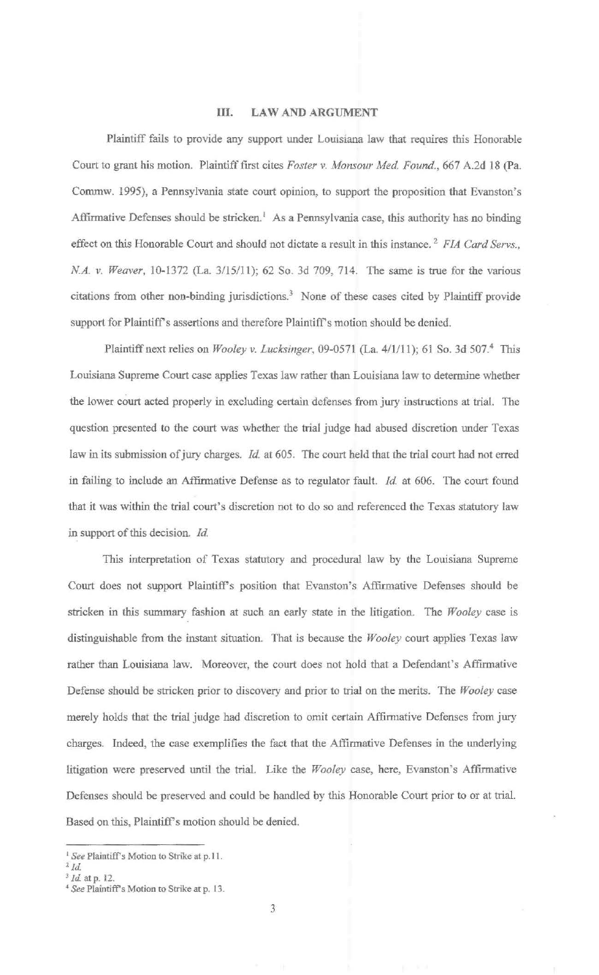## III. LAW AND ARGUMENT

Plaintiff fails to provide any support under Louisiana law that requires this Honorable Court to grant his motion. Plaintiff *fust* cites *Foster v. Monsour Med. Found.,* 667 A.2d 18 (Pa. Commw. 1995), a Pennsylvania state court opinion, to support the proposition that Evanston's Affirmative Defenses should be stricken.<sup>1</sup> As a Pennsylvania case, this authority has no binding effect on this Honorable Court and should not dictate a result in this instance. 2 *FIA Card Servs., NA. v. Weaver,* 10-1372 (La. 3/15/11); 62 So. 3d 709, 714. The same is true for the various citations from other non-binding jurisdictions.<sup>3</sup> None of these cases cited by Plaintiff provide support for Plaintiff's assertions and therefore Plaintiff's motion should be denied.

Plaintiff next relies on *Wooley v. Lucksinger,* 09-0571 (La. 4/1/11); 61 So. 3d 507.4 This Louisiana Supreme Court case applies Texas law rather than Louisiana law to determine whether the lower court acted properly in excluding certain defenses from jury instructions at trial. The question presented to the court was whether the trial judge had abused discretion under Texas law in its submission of jury charges. *Id* at 605. The court held that the trial court had not erred in failing to include an Affirmative Defense as to regulator fault. *Id.* at 606. The court found that it was within the trial court's discretion not to do so and referenced the Texas statutory law in support of this decision. *Id* 

This interpretation of Texas statutory and procedural law by the Louisiana Supreme Court does not support Plaintiff's position that Evanston's Affirmative Defenses should be stricken in this summary fashion at such an early state in the litigation. The *Wooley* case is distinguishable from the instant situation. That is because the *Wooley* court applies Texas law rather than Louisiana law. Moreover, the court does not hold that a Defendant's Affinnative Defense should be stricken prior to discovery and prior to trial on the merits. The *Wooley* case merely holds that the trial judge had discretion to omit certain Affirmative Defenses from jury charges. Indeed, the case exemplifies the fact that the Affirmative Defenses in the underlying litigation were preserved until the trial. Like the *Wooley* case, here, Evanston's Affirmative Defenses should be preserved and could be handled by this Honorable Court prior to or at trial. Based on this, Plaintiff's motion should be denied.

<sup>&</sup>lt;sup>1</sup> See Plaintiff's Motion to Strike at p.11.

*z Id.* 

<sup>3</sup>*Id.* at p. 12. 4 *See* Plaintiff's Motion to Strike at p. 13.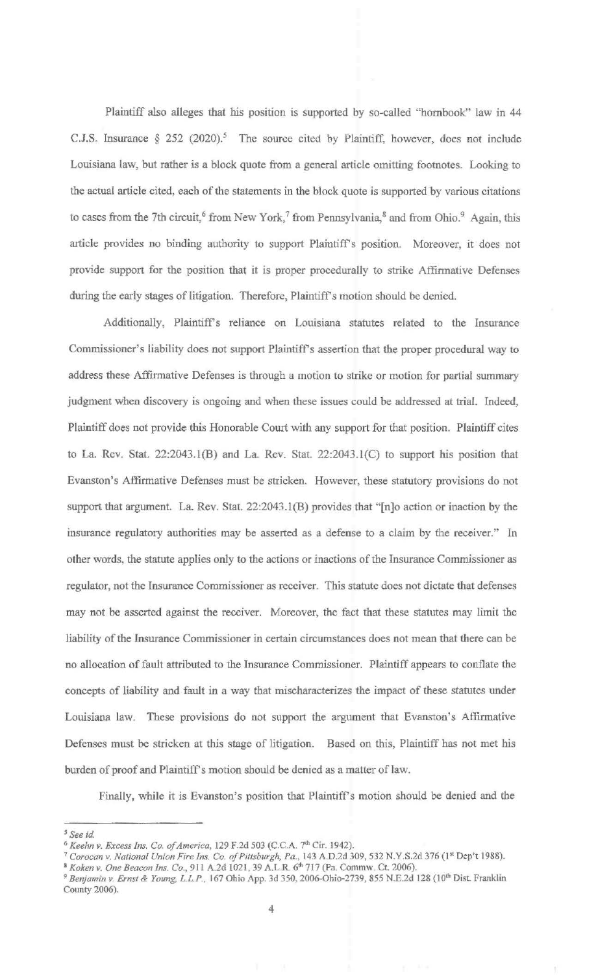Plaintiff also alleges that his position is supported by so-called "hornbook" law in 44 C.J.S. Insurance  $\S 252$  (2020).<sup>5</sup> The source cited by Plaintiff, however, does not include Louisiana law, but rather is a block quote from a general article omitting footnotes. Looking to the actual article cited, each of the statements in the block quote is supported by various citations to cases from the 7th circuit,<sup>6</sup> from New York,<sup>7</sup> from Pennsylvania,  $\delta$  and from Ohio.<sup>9</sup> Again, this article provides no binding authority to support Plaintiff's position. Moreover, it does not provide support for the position that it is proper procedurally to strike Affirmative Defenses during the early stages of litigation. Therefore, Plaintiff's motion should be denied.

Additionally, Plaintiff's reliance on Louisiana statutes related to the Insurance Commissioner's liability does not support Plaintiff's assertion that the proper procedural way to address these Affirmative Defenses is through a motion to strike or motion for partial summary judgment when discovery is ongoing and when these issues could be addressed at trial. Indeed, Plaintiff does not provide this Honorable Court with any support for that position. Plaintiff cites to La. Rev. Stat. 22:2043.l(B) and La. Rev. Stat. 22:2043.l(C) to support his position that Evanston's Affirmative Defenses must be stricken. However, these statutory provisions do not support that argument. La. Rev. Stat. 22:2043.l(B) provides that "[n]o action or inaction by the insurance regulatory authorities may be asserted as a defense to a claim by the receiver." In other words, the statute applies only to the actions or inactions of the Insurance Commissioner as regulator, not the Insurance Commissioner as receiver. This statute does not dictate that defenses may not be asserted against the receiver. Moreover, the fact that these statutes may limit the liability of the Insurance Commissioner in certain circumstances does not mean that there can be no allocation of fault attributed to the Insurance Commissioner. Plaintiff appears to conflate the concepts of liability and fault in a way that mischaracterizes the impact of these statutes under Louisiana law. These provisions do not support the argument that Evanston's Affirmative Defenses must be stricken at this stage of litigation. Based on this, Plaintiff has not met his burden of proof and Plaintiff's motion should be denied as a matter of law.

Finally, while it is Evanston's position that Plaintiff's motion should be denied and the

<sup>&</sup>lt;sup>5</sup> See id.<br><sup>6</sup> Keehn v. Excess Ins. Co. of America, 129 F.2d 503 (C.C.A. 7<sup>th</sup> Cir. 1942).

<sup>&</sup>lt;sup>7</sup> Corocan v. National Union Fire Ins. Co. of Pittsburgh, Pa., 143 A.D.2d 309, 532 N.Y.S.2d 376 (1<sup>st</sup> Dep't 1988).<br><sup>8</sup> Koken v. One Beacon Ins. Co., 911 A.2d 1021, 39 A.L.R. 6<sup>th</sup> 717 (Pa. Commw. Ct. 2006).

<sup>9</sup>*Benjamin v. Ernst* & *Young, L.L.P.,* 167 Ohio App. 3d 350, 2006-0hio-2739, *855 N.E2d* 128 (10th Dist Franklin County 2006).